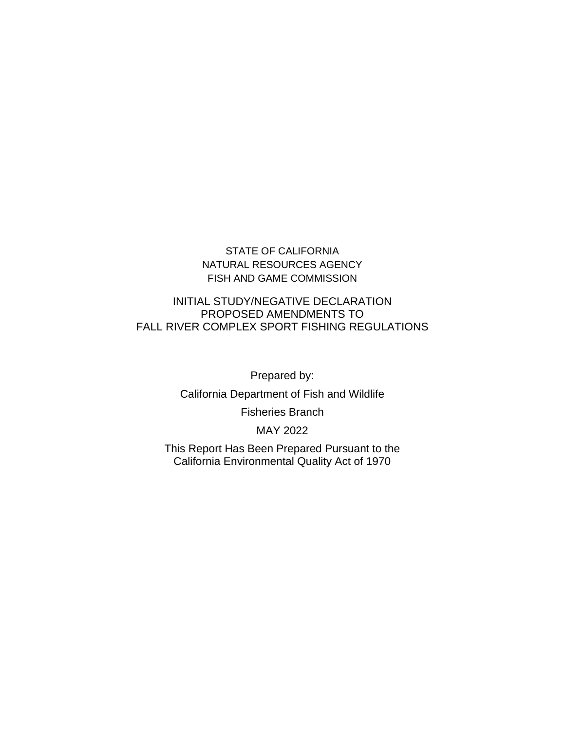### STATE OF CALIFORNIA NATURAL RESOURCES AGENCY FISH AND GAME COMMISSION

#### INITIAL STUDY/NEGATIVE DECLARATION PROPOSED AMENDMENTS TO FALL RIVER COMPLEX SPORT FISHING REGULATIONS

Prepared by:

California Department of Fish and Wildlife

Fisheries Branch

MAY 2022

This Report Has Been Prepared Pursuant to the California Environmental Quality Act of 1970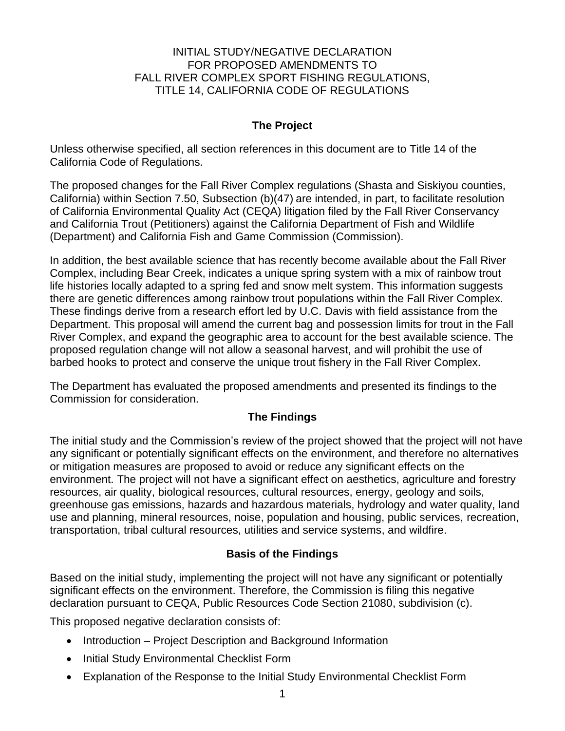#### INITIAL STUDY/NEGATIVE DECLARATION FOR PROPOSED AMENDMENTS TO FALL RIVER COMPLEX SPORT FISHING REGULATIONS, TITLE 14, CALIFORNIA CODE OF REGULATIONS

## **The Project**

Unless otherwise specified, all section references in this document are to Title 14 of the California Code of Regulations.

The proposed changes for the Fall River Complex regulations (Shasta and Siskiyou counties, California) within Section 7.50, Subsection (b)(47) are intended, in part, to facilitate resolution of California Environmental Quality Act (CEQA) litigation filed by the Fall River Conservancy and California Trout (Petitioners) against the California Department of Fish and Wildlife (Department) and California Fish and Game Commission (Commission).

In addition, the best available science that has recently become available about the Fall River Complex, including Bear Creek, indicates a unique spring system with a mix of rainbow trout life histories locally adapted to a spring fed and snow melt system. This information suggests there are genetic differences among rainbow trout populations within the Fall River Complex. These findings derive from a research effort led by U.C. Davis with field assistance from the Department. This proposal will amend the current bag and possession limits for trout in the Fall River Complex, and expand the geographic area to account for the best available science. The proposed regulation change will not allow a seasonal harvest, and will prohibit the use of barbed hooks to protect and conserve the unique trout fishery in the Fall River Complex.

The Department has evaluated the proposed amendments and presented its findings to the Commission for consideration.

#### **The Findings**

The initial study and the Commission's review of the project showed that the project will not have any significant or potentially significant effects on the environment, and therefore no alternatives or mitigation measures are proposed to avoid or reduce any significant effects on the environment. The project will not have a significant effect on aesthetics, agriculture and forestry resources, air quality, biological resources, cultural resources, energy, geology and soils, greenhouse gas emissions, hazards and hazardous materials, hydrology and water quality, land use and planning, mineral resources, noise, population and housing, public services, recreation, transportation, tribal cultural resources, utilities and service systems, and wildfire.

## **Basis of the Findings**

Based on the initial study, implementing the project will not have any significant or potentially significant effects on the environment. Therefore, the Commission is filing this negative declaration pursuant to CEQA, Public Resources Code Section 21080, subdivision (c).

This proposed negative declaration consists of:

- Introduction Project Description and Background Information
- Initial Study Environmental Checklist Form
- Explanation of the Response to the Initial Study Environmental Checklist Form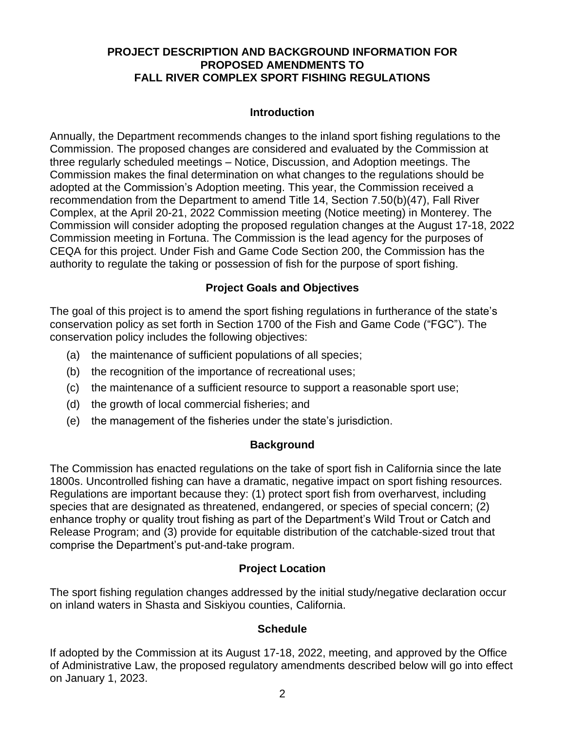### **PROJECT DESCRIPTION AND BACKGROUND INFORMATION FOR PROPOSED AMENDMENTS TO FALL RIVER COMPLEX SPORT FISHING REGULATIONS**

### **Introduction**

Annually, the Department recommends changes to the inland sport fishing regulations to the Commission. The proposed changes are considered and evaluated by the Commission at three regularly scheduled meetings – Notice, Discussion, and Adoption meetings. The Commission makes the final determination on what changes to the regulations should be adopted at the Commission's Adoption meeting. This year, the Commission received a recommendation from the Department to amend Title 14, Section 7.50(b)(47), Fall River Complex, at the April 20-21, 2022 Commission meeting (Notice meeting) in Monterey. The Commission will consider adopting the proposed regulation changes at the August 17-18, 2022 Commission meeting in Fortuna. The Commission is the lead agency for the purposes of CEQA for this project. Under Fish and Game Code Section 200, the Commission has the authority to regulate the taking or possession of fish for the purpose of sport fishing.

## **Project Goals and Objectives**

The goal of this project is to amend the sport fishing regulations in furtherance of the state's conservation policy as set forth in Section 1700 of the Fish and Game Code ("FGC"). The conservation policy includes the following objectives:

- (a) the maintenance of sufficient populations of all species;
- (b) the recognition of the importance of recreational uses;
- (c) the maintenance of a sufficient resource to support a reasonable sport use;
- (d) the growth of local commercial fisheries; and
- (e) the management of the fisheries under the state's jurisdiction.

## **Background**

The Commission has enacted regulations on the take of sport fish in California since the late 1800s. Uncontrolled fishing can have a dramatic, negative impact on sport fishing resources. Regulations are important because they: (1) protect sport fish from overharvest, including species that are designated as threatened, endangered, or species of special concern; (2) enhance trophy or quality trout fishing as part of the Department's Wild Trout or Catch and Release Program; and (3) provide for equitable distribution of the catchable-sized trout that comprise the Department's put-and-take program.

## **Project Location**

The sport fishing regulation changes addressed by the initial study/negative declaration occur on inland waters in Shasta and Siskiyou counties, California.

#### **Schedule**

If adopted by the Commission at its August 17-18, 2022, meeting, and approved by the Office of Administrative Law, the proposed regulatory amendments described below will go into effect on January 1, 2023.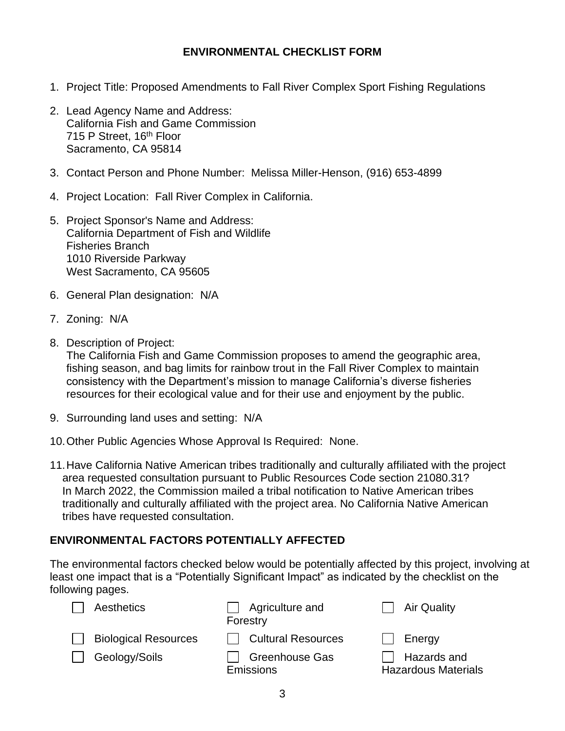### **ENVIRONMENTAL CHECKLIST FORM**

- 1. Project Title: Proposed Amendments to Fall River Complex Sport Fishing Regulations
- 2. Lead Agency Name and Address: California Fish and Game Commission 715 P Street, 16<sup>th</sup> Floor Sacramento, CA 95814
- 3. Contact Person and Phone Number: Melissa Miller-Henson, (916) 653-4899
- 4. Project Location: Fall River Complex in California.
- 5. Project Sponsor's Name and Address: California Department of Fish and Wildlife Fisheries Branch 1010 Riverside Parkway West Sacramento, CA 95605
- 6. General Plan designation: N/A
- 7. Zoning: N/A
- 8. Description of Project:

The California Fish and Game Commission proposes to amend the geographic area, fishing season, and bag limits for rainbow trout in the Fall River Complex to maintain consistency with the Department's mission to manage California's diverse fisheries resources for their ecological value and for their use and enjoyment by the public.

- 9. Surrounding land uses and setting: N/A
- 10.Other Public Agencies Whose Approval Is Required: None.
- 11.Have California Native American tribes traditionally and culturally affiliated with the project area requested consultation pursuant to Public Resources Code section 21080.31? In March 2022, the Commission mailed a tribal notification to Native American tribes traditionally and culturally affiliated with the project area. No California Native American tribes have requested consultation.

## **ENVIRONMENTAL FACTORS POTENTIALLY AFFECTED**

The environmental factors checked below would be potentially affected by this project, involving at least one impact that is a "Potentially Significant Impact" as indicated by the checklist on the following pages.

| Aesthetics                                   | $\Box$ Agriculture and<br>Forestry                              | <b>Air Quality</b>                                  |
|----------------------------------------------|-----------------------------------------------------------------|-----------------------------------------------------|
| <b>Biological Resources</b><br>Geology/Soils | <b>Cultural Resources</b><br><b>Greenhouse Gas</b><br>Emissions | Energy<br>Hazards and<br><b>Hazardous Materials</b> |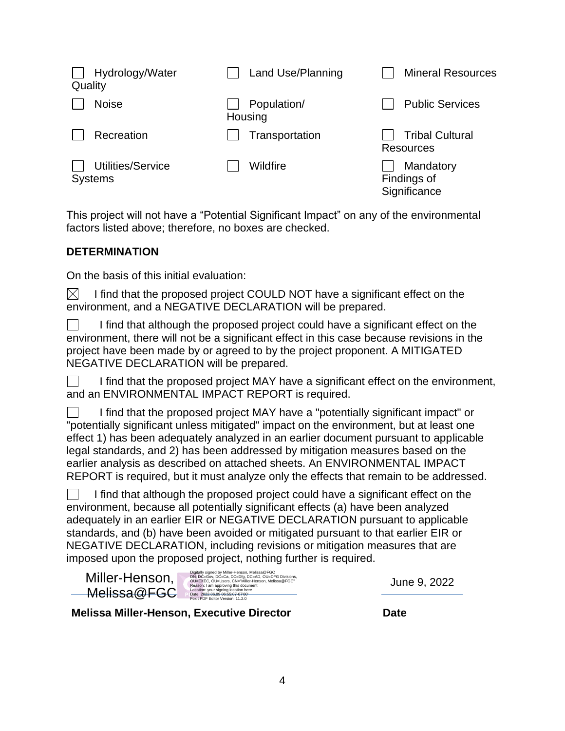| Hydrology/Water<br>Quality          | Land Use/Planning      | <b>Mineral Resources</b>                   |
|-------------------------------------|------------------------|--------------------------------------------|
| <b>Noise</b>                        | Population/<br>Housing | <b>Public Services</b>                     |
| Recreation                          | Transportation         | <b>Tribal Cultural</b><br><b>Resources</b> |
| Utilities/Service<br><b>Systems</b> | Wildfire               | Mandatory<br>Findings of<br>Significance   |

This project will not have a "Potential Significant Impact" on any of the environmental factors listed above; therefore, no boxes are checked.

### **DETERMINATION**

On the basis of this initial evaluation:

 $\boxtimes$ I find that the proposed project COULD NOT have a significant effect on the environment, and a NEGATIVE DECLARATION will be prepared.

I find that although the proposed project could have a significant effect on the environment, there will not be a significant effect in this case because revisions in the project have been made by or agreed to by the project proponent. A MITIGATED NEGATIVE DECLARATION will be prepared.

I find that the proposed project MAY have a significant effect on the environment, and an ENVIRONMENTAL IMPACT REPORT is required.

I find that the proposed project MAY have a "potentially significant impact" or "potentially significant unless mitigated" impact on the environment, but at least one effect 1) has been adequately analyzed in an earlier document pursuant to applicable legal standards, and 2) has been addressed by mitigation measures based on the earlier analysis as described on attached sheets. An ENVIRONMENTAL IMPACT REPORT is required, but it must analyze only the effects that remain to be addressed.

I find that although the proposed project could have a significant effect on the environment, because all potentially significant effects (a) have been analyzed adequately in an earlier EIR or NEGATIVE DECLARATION pursuant to applicable standards, and (b) have been avoided or mitigated pursuant to that earlier EIR or NEGATIVE DECLARATION, including revisions or mitigation measures that are imposed upon the proposed project, nothing further is required.

| Miller-Henson, | Digitally signed by Miller-Henson, Melissa@FGC<br>DN: DC=Gov, DC=Ca, DC=Dfg, DC=AD, OU=DFG Divisions,<br>OU=EXEC, OU=Users, CN="Miller-Henson, Melissa@FGC"<br>Reason: I am approving this document |
|----------------|-----------------------------------------------------------------------------------------------------------------------------------------------------------------------------------------------------|
| -Melissa@FGC   | Location: your signing location here<br>Date: 2022.06.09 06:55:07-07'00"<br>Foxit PDF Editor Version: 11.2.0                                                                                        |

June 9, 2022

**Melissa Miller-Henson, Executive Director Date**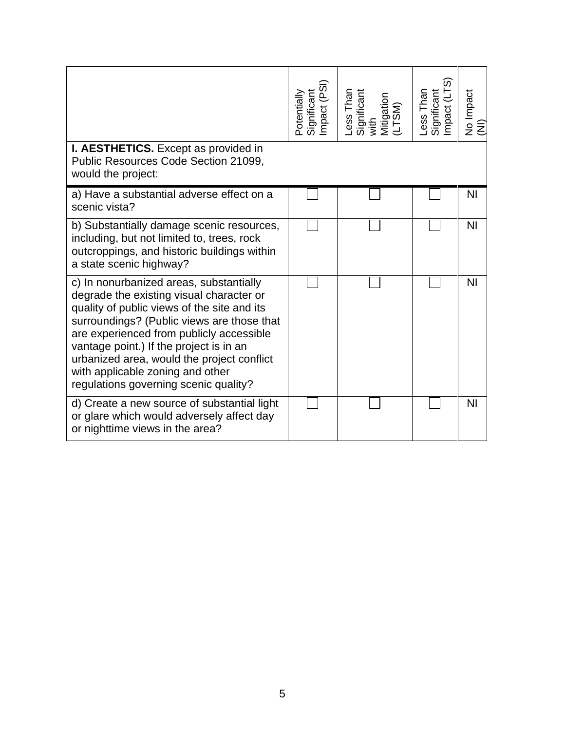|                                                                                                                                                                                                                                                                                                                                                                                                    | Significant<br>Impact (PSI)<br>Potentially | Less Than<br>Significant<br>with<br>Mitigation<br>(LTSM) | Less Than<br>Significant<br>Impact (LTS) | No Impact<br>(NI) |
|----------------------------------------------------------------------------------------------------------------------------------------------------------------------------------------------------------------------------------------------------------------------------------------------------------------------------------------------------------------------------------------------------|--------------------------------------------|----------------------------------------------------------|------------------------------------------|-------------------|
| <b>I. AESTHETICS.</b> Except as provided in<br>Public Resources Code Section 21099,<br>would the project:                                                                                                                                                                                                                                                                                          |                                            |                                                          |                                          |                   |
| a) Have a substantial adverse effect on a<br>scenic vista?                                                                                                                                                                                                                                                                                                                                         |                                            |                                                          |                                          | N <sub>l</sub>    |
| b) Substantially damage scenic resources,<br>including, but not limited to, trees, rock<br>outcroppings, and historic buildings within<br>a state scenic highway?                                                                                                                                                                                                                                  |                                            |                                                          |                                          | N <sub>l</sub>    |
| c) In nonurbanized areas, substantially<br>degrade the existing visual character or<br>quality of public views of the site and its<br>surroundings? (Public views are those that<br>are experienced from publicly accessible<br>vantage point.) If the project is in an<br>urbanized area, would the project conflict<br>with applicable zoning and other<br>regulations governing scenic quality? |                                            |                                                          |                                          | <b>NI</b>         |
| d) Create a new source of substantial light<br>or glare which would adversely affect day<br>or nighttime views in the area?                                                                                                                                                                                                                                                                        |                                            |                                                          |                                          | ΝI                |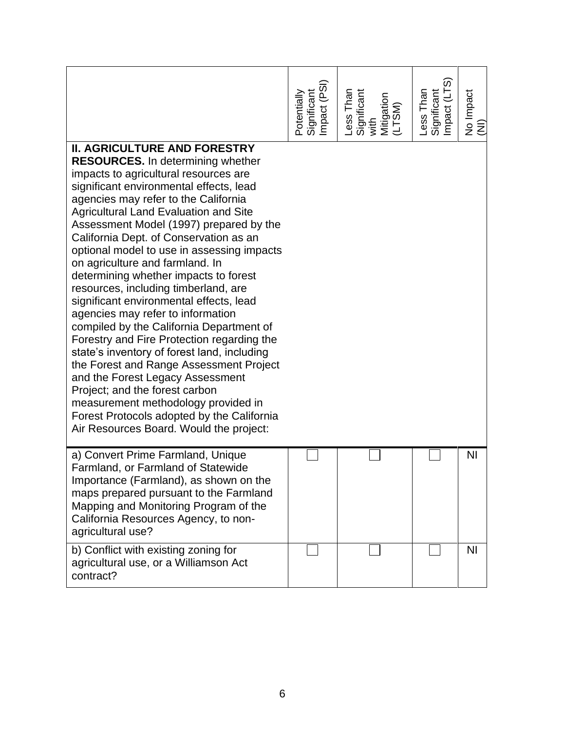|                                                                                                                                                                                                                                                                                                                                                                                                                                                                                                                                                                                                                                                                                                                                                                                                                                                                                                                                                                                              | Significant<br>Impact (PSI)<br>Potentially | Less Than<br>Significant<br>with<br>Mitigation<br>Mitigation | Less Than<br>Significant<br>Impact (LTS) | No Impact<br>(NI) |
|----------------------------------------------------------------------------------------------------------------------------------------------------------------------------------------------------------------------------------------------------------------------------------------------------------------------------------------------------------------------------------------------------------------------------------------------------------------------------------------------------------------------------------------------------------------------------------------------------------------------------------------------------------------------------------------------------------------------------------------------------------------------------------------------------------------------------------------------------------------------------------------------------------------------------------------------------------------------------------------------|--------------------------------------------|--------------------------------------------------------------|------------------------------------------|-------------------|
| <b>II. AGRICULTURE AND FORESTRY</b><br><b>RESOURCES.</b> In determining whether<br>impacts to agricultural resources are<br>significant environmental effects, lead<br>agencies may refer to the California<br><b>Agricultural Land Evaluation and Site</b><br>Assessment Model (1997) prepared by the<br>California Dept. of Conservation as an<br>optional model to use in assessing impacts<br>on agriculture and farmland. In<br>determining whether impacts to forest<br>resources, including timberland, are<br>significant environmental effects, lead<br>agencies may refer to information<br>compiled by the California Department of<br>Forestry and Fire Protection regarding the<br>state's inventory of forest land, including<br>the Forest and Range Assessment Project<br>and the Forest Legacy Assessment<br>Project; and the forest carbon<br>measurement methodology provided in<br>Forest Protocols adopted by the California<br>Air Resources Board. Would the project: |                                            |                                                              |                                          |                   |
| a) Convert Prime Farmland, Unique<br>Farmland, or Farmland of Statewide<br>Importance (Farmland), as shown on the<br>maps prepared pursuant to the Farmland<br>Mapping and Monitoring Program of the<br>California Resources Agency, to non-<br>agricultural use?                                                                                                                                                                                                                                                                                                                                                                                                                                                                                                                                                                                                                                                                                                                            |                                            |                                                              |                                          | <b>NI</b>         |
| b) Conflict with existing zoning for<br>agricultural use, or a Williamson Act<br>contract?                                                                                                                                                                                                                                                                                                                                                                                                                                                                                                                                                                                                                                                                                                                                                                                                                                                                                                   |                                            |                                                              |                                          | <b>NI</b>         |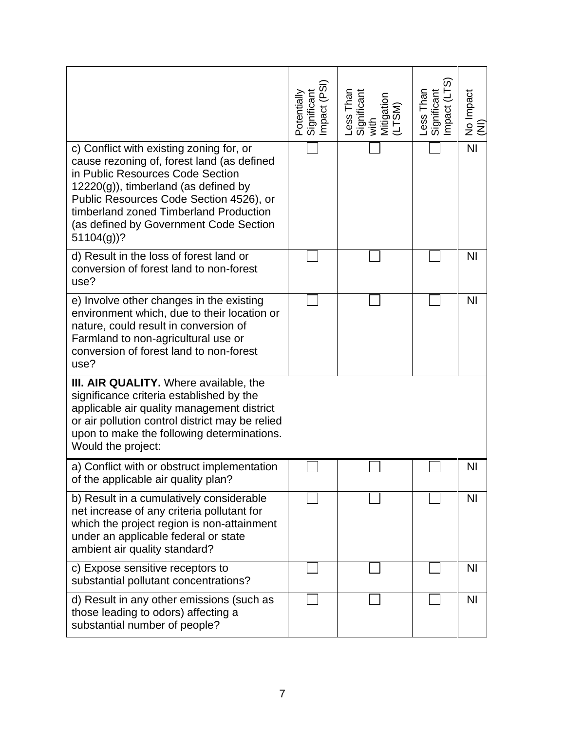|                                                                                                                                                                                                                                                                                                                     | Potentially<br>Significant<br>Impact (PSI) | Less Than<br>Significant<br>with<br>Mitigation<br>(LTSM) | Less Than<br>Significant<br>Impact (LTS) | No Impact<br>(NI) |
|---------------------------------------------------------------------------------------------------------------------------------------------------------------------------------------------------------------------------------------------------------------------------------------------------------------------|--------------------------------------------|----------------------------------------------------------|------------------------------------------|-------------------|
| c) Conflict with existing zoning for, or<br>cause rezoning of, forest land (as defined<br>in Public Resources Code Section<br>$12220(g)$ , timberland (as defined by<br>Public Resources Code Section 4526), or<br>timberland zoned Timberland Production<br>(as defined by Government Code Section<br>$51104(g)$ ? |                                            |                                                          |                                          | $\overline{N}$    |
| d) Result in the loss of forest land or<br>conversion of forest land to non-forest<br>use?                                                                                                                                                                                                                          |                                            |                                                          |                                          | <b>NI</b>         |
| e) Involve other changes in the existing<br>environment which, due to their location or<br>nature, could result in conversion of<br>Farmland to non-agricultural use or<br>conversion of forest land to non-forest<br>use?                                                                                          |                                            |                                                          |                                          | <b>NI</b>         |
| III. AIR QUALITY. Where available, the<br>significance criteria established by the<br>applicable air quality management district<br>or air pollution control district may be relied<br>upon to make the following determinations.<br>Would the project:                                                             |                                            |                                                          |                                          |                   |
| a) Conflict with or obstruct implementation<br>of the applicable air quality plan?                                                                                                                                                                                                                                  |                                            |                                                          |                                          | NI                |
| b) Result in a cumulatively considerable<br>net increase of any criteria pollutant for<br>which the project region is non-attainment<br>under an applicable federal or state<br>ambient air quality standard?                                                                                                       |                                            |                                                          |                                          | <b>NI</b>         |
| c) Expose sensitive receptors to<br>substantial pollutant concentrations?                                                                                                                                                                                                                                           |                                            |                                                          |                                          | <b>NI</b>         |
| d) Result in any other emissions (such as<br>those leading to odors) affecting a<br>substantial number of people?                                                                                                                                                                                                   |                                            |                                                          |                                          | N <sub>1</sub>    |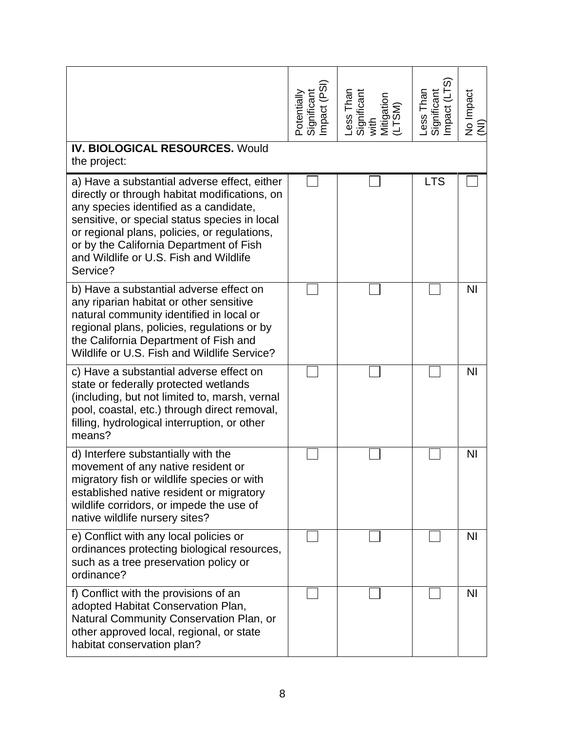| <b>IV. BIOLOGICAL RESOURCES. Would</b>                                                                                                                                                                                                                                                                                                                    | Significant<br>Impact (PSI)<br>Potentially | Less Than<br>Significant<br>with<br>Mitigation<br>(LTSM) | Less Than<br>Significant<br>Impact (LTS) | No Impact<br>(NI) |
|-----------------------------------------------------------------------------------------------------------------------------------------------------------------------------------------------------------------------------------------------------------------------------------------------------------------------------------------------------------|--------------------------------------------|----------------------------------------------------------|------------------------------------------|-------------------|
| the project:<br>a) Have a substantial adverse effect, either<br>directly or through habitat modifications, on<br>any species identified as a candidate,<br>sensitive, or special status species in local<br>or regional plans, policies, or regulations,<br>or by the California Department of Fish<br>and Wildlife or U.S. Fish and Wildlife<br>Service? |                                            |                                                          | <b>LTS</b>                               |                   |
| b) Have a substantial adverse effect on<br>any riparian habitat or other sensitive<br>natural community identified in local or<br>regional plans, policies, regulations or by<br>the California Department of Fish and<br>Wildlife or U.S. Fish and Wildlife Service?                                                                                     |                                            |                                                          |                                          | N <sub>1</sub>    |
| c) Have a substantial adverse effect on<br>state or federally protected wetlands<br>(including, but not limited to, marsh, vernal<br>pool, coastal, etc.) through direct removal,<br>filling, hydrological interruption, or other<br>means?                                                                                                               |                                            |                                                          |                                          | N <sub>1</sub>    |
| d) Interfere substantially with the<br>movement of any native resident or<br>migratory fish or wildlife species or with<br>established native resident or migratory<br>wildlife corridors, or impede the use of<br>native wildlife nursery sites?                                                                                                         |                                            |                                                          |                                          | N <sub>l</sub>    |
| e) Conflict with any local policies or<br>ordinances protecting biological resources,<br>such as a tree preservation policy or<br>ordinance?                                                                                                                                                                                                              |                                            |                                                          |                                          | <b>NI</b>         |
| f) Conflict with the provisions of an<br>adopted Habitat Conservation Plan,<br>Natural Community Conservation Plan, or<br>other approved local, regional, or state<br>habitat conservation plan?                                                                                                                                                          |                                            |                                                          |                                          | <b>NI</b>         |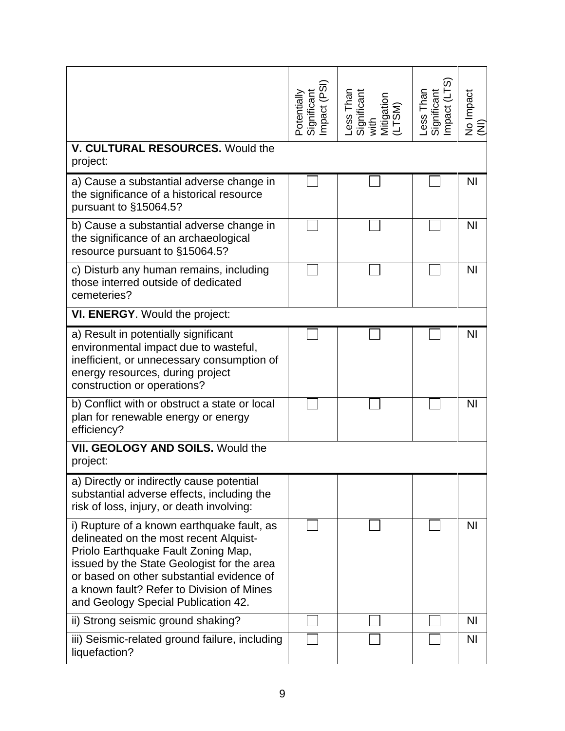|                                                                                                                                                                                                                                                                                                            | Significant<br>Impact (PSI)<br>Potentially | Less Than<br>Significant<br>with<br>Mitigation<br>(LTSM) | Significant<br>Impact (LTS)<br>Less Than | No Impact<br>(NI) |
|------------------------------------------------------------------------------------------------------------------------------------------------------------------------------------------------------------------------------------------------------------------------------------------------------------|--------------------------------------------|----------------------------------------------------------|------------------------------------------|-------------------|
| V. CULTURAL RESOURCES. Would the<br>project:                                                                                                                                                                                                                                                               |                                            |                                                          |                                          |                   |
| a) Cause a substantial adverse change in<br>the significance of a historical resource<br>pursuant to §15064.5?                                                                                                                                                                                             |                                            |                                                          |                                          | <b>NI</b>         |
| b) Cause a substantial adverse change in<br>the significance of an archaeological<br>resource pursuant to §15064.5?                                                                                                                                                                                        |                                            |                                                          |                                          | ΝI                |
| c) Disturb any human remains, including<br>those interred outside of dedicated<br>cemeteries?                                                                                                                                                                                                              |                                            |                                                          |                                          | N <sub>l</sub>    |
| VI. ENERGY. Would the project:                                                                                                                                                                                                                                                                             |                                            |                                                          |                                          |                   |
| a) Result in potentially significant<br>environmental impact due to wasteful,<br>inefficient, or unnecessary consumption of<br>energy resources, during project<br>construction or operations?                                                                                                             |                                            |                                                          |                                          | <b>NI</b>         |
| b) Conflict with or obstruct a state or local<br>plan for renewable energy or energy<br>efficiency?                                                                                                                                                                                                        |                                            |                                                          |                                          | N <sub>l</sub>    |
| VII. GEOLOGY AND SOILS. Would the<br>project:                                                                                                                                                                                                                                                              |                                            |                                                          |                                          |                   |
| a) Directly or indirectly cause potential<br>substantial adverse effects, including the<br>risk of loss, injury, or death involving:                                                                                                                                                                       |                                            |                                                          |                                          |                   |
| i) Rupture of a known earthquake fault, as<br>delineated on the most recent Alquist-<br>Priolo Earthquake Fault Zoning Map,<br>issued by the State Geologist for the area<br>or based on other substantial evidence of<br>a known fault? Refer to Division of Mines<br>and Geology Special Publication 42. |                                            |                                                          |                                          | N <sub>l</sub>    |
| ii) Strong seismic ground shaking?                                                                                                                                                                                                                                                                         |                                            |                                                          |                                          | ΝI                |
| iii) Seismic-related ground failure, including<br>liquefaction?                                                                                                                                                                                                                                            |                                            |                                                          |                                          | <b>NI</b>         |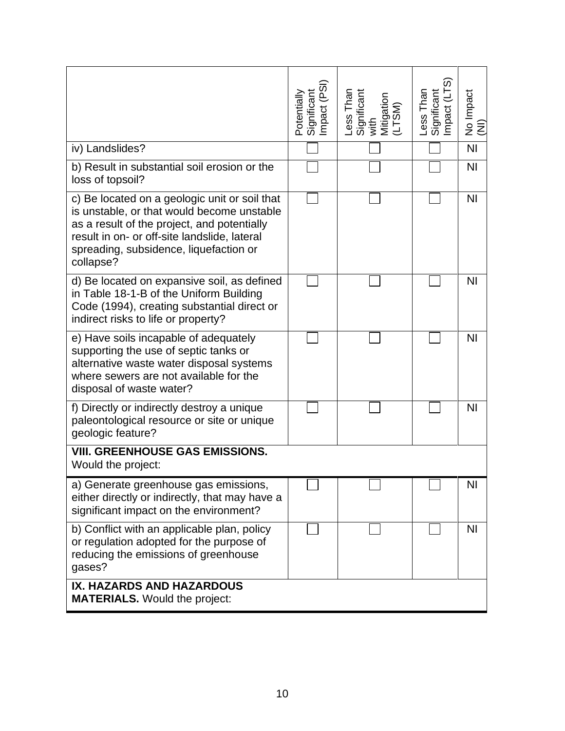|                                                                                                                                                                                                                                                   | Impact (PSI)<br><b>Significant</b><br>Potentially | Less Than<br>Significant<br>with<br>Mitigation<br>(LTSM) | Significant<br>Impact (LTS)<br>Less Than | No Impact<br>Ē |
|---------------------------------------------------------------------------------------------------------------------------------------------------------------------------------------------------------------------------------------------------|---------------------------------------------------|----------------------------------------------------------|------------------------------------------|----------------|
| iv) Landslides?                                                                                                                                                                                                                                   |                                                   |                                                          |                                          | N <sub>l</sub> |
| b) Result in substantial soil erosion or the<br>loss of topsoil?                                                                                                                                                                                  |                                                   |                                                          |                                          | N <sub>1</sub> |
| c) Be located on a geologic unit or soil that<br>is unstable, or that would become unstable<br>as a result of the project, and potentially<br>result in on- or off-site landslide, lateral<br>spreading, subsidence, liquefaction or<br>collapse? |                                                   |                                                          |                                          | N <sub>1</sub> |
| d) Be located on expansive soil, as defined<br>in Table 18-1-B of the Uniform Building<br>Code (1994), creating substantial direct or<br>indirect risks to life or property?                                                                      |                                                   |                                                          |                                          | N <sub>1</sub> |
| e) Have soils incapable of adequately<br>supporting the use of septic tanks or<br>alternative waste water disposal systems<br>where sewers are not available for the<br>disposal of waste water?                                                  |                                                   |                                                          |                                          | N <sub>l</sub> |
| f) Directly or indirectly destroy a unique<br>paleontological resource or site or unique<br>geologic feature?                                                                                                                                     |                                                   |                                                          |                                          | N <sub>l</sub> |
| <b>VIII. GREENHOUSE GAS EMISSIONS.</b><br>Would the project:                                                                                                                                                                                      |                                                   |                                                          |                                          |                |
| a) Generate greenhouse gas emissions,<br>either directly or indirectly, that may have a<br>significant impact on the environment?                                                                                                                 |                                                   |                                                          |                                          | NI             |
| b) Conflict with an applicable plan, policy<br>or regulation adopted for the purpose of<br>reducing the emissions of greenhouse<br>gases?                                                                                                         |                                                   |                                                          |                                          | N <sub>l</sub> |
| IX. HAZARDS AND HAZARDOUS<br><b>MATERIALS.</b> Would the project:                                                                                                                                                                                 |                                                   |                                                          |                                          |                |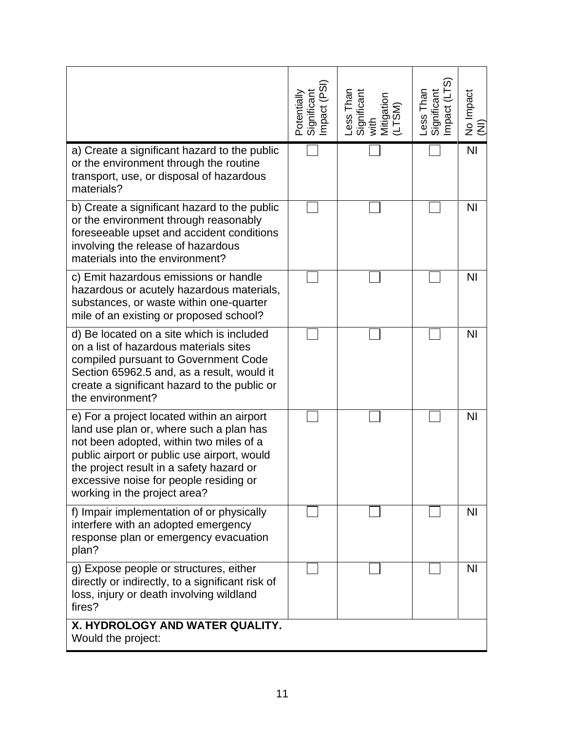|                                                                                                                                                                                                                                                                                                       | Significant<br>Impact (PSI)<br>Potentially | Less Than<br>Significant<br>with<br>Mitigation<br>(LTSM) | Less Than<br>Significant<br>Impact (LTS) | No Impact<br>(NI) |
|-------------------------------------------------------------------------------------------------------------------------------------------------------------------------------------------------------------------------------------------------------------------------------------------------------|--------------------------------------------|----------------------------------------------------------|------------------------------------------|-------------------|
| a) Create a significant hazard to the public<br>or the environment through the routine<br>transport, use, or disposal of hazardous<br>materials?                                                                                                                                                      |                                            |                                                          |                                          | N <sub>l</sub>    |
| b) Create a significant hazard to the public<br>or the environment through reasonably<br>foreseeable upset and accident conditions<br>involving the release of hazardous<br>materials into the environment?                                                                                           |                                            |                                                          |                                          | <b>NI</b>         |
| c) Emit hazardous emissions or handle<br>hazardous or acutely hazardous materials,<br>substances, or waste within one-quarter<br>mile of an existing or proposed school?                                                                                                                              |                                            |                                                          |                                          | N <sub>l</sub>    |
| d) Be located on a site which is included<br>on a list of hazardous materials sites<br>compiled pursuant to Government Code<br>Section 65962.5 and, as a result, would it<br>create a significant hazard to the public or<br>the environment?                                                         |                                            |                                                          |                                          | <b>NI</b>         |
| e) For a project located within an airport<br>land use plan or, where such a plan has<br>not been adopted, within two miles of a<br>public airport or public use airport, would<br>the project result in a safety hazard or<br>excessive noise for people residing or<br>working in the project area? |                                            |                                                          |                                          | N <sub>l</sub>    |
| f) Impair implementation of or physically<br>interfere with an adopted emergency<br>response plan or emergency evacuation<br>plan?                                                                                                                                                                    |                                            |                                                          |                                          | N <sub>1</sub>    |
| g) Expose people or structures, either<br>directly or indirectly, to a significant risk of<br>loss, injury or death involving wildland<br>fires?                                                                                                                                                      |                                            |                                                          |                                          | <b>NI</b>         |
| X. HYDROLOGY AND WATER QUALITY.<br>Would the project:                                                                                                                                                                                                                                                 |                                            |                                                          |                                          |                   |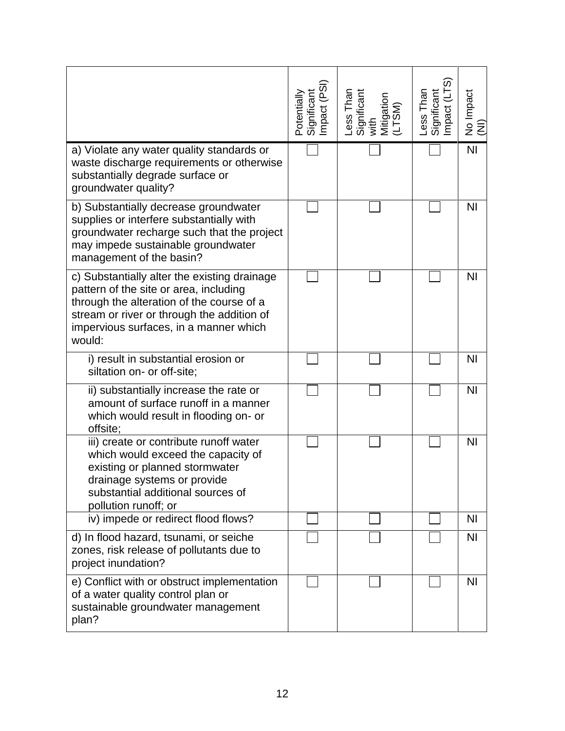|                                                                                                                                                                                                                                       | Potentially<br>Significant<br>Impact (PSI) | Less Than<br>Significant<br>with<br>Mitigation<br>(LTSM) | Less Than<br>Significant<br>Impact (LTS) | No Impact<br>(NI) |
|---------------------------------------------------------------------------------------------------------------------------------------------------------------------------------------------------------------------------------------|--------------------------------------------|----------------------------------------------------------|------------------------------------------|-------------------|
| a) Violate any water quality standards or<br>waste discharge requirements or otherwise<br>substantially degrade surface or<br>groundwater quality?                                                                                    |                                            |                                                          |                                          | N <sub>l</sub>    |
| b) Substantially decrease groundwater<br>supplies or interfere substantially with<br>groundwater recharge such that the project<br>may impede sustainable groundwater<br>management of the basin?                                     |                                            |                                                          |                                          | <b>NI</b>         |
| c) Substantially alter the existing drainage<br>pattern of the site or area, including<br>through the alteration of the course of a<br>stream or river or through the addition of<br>impervious surfaces, in a manner which<br>would: |                                            |                                                          |                                          | N <sub>l</sub>    |
| i) result in substantial erosion or<br>siltation on- or off-site;                                                                                                                                                                     |                                            |                                                          |                                          | N <sub>l</sub>    |
| ii) substantially increase the rate or<br>amount of surface runoff in a manner<br>which would result in flooding on- or<br>offsite;                                                                                                   |                                            |                                                          |                                          | N <sub>l</sub>    |
| iii) create or contribute runoff water<br>which would exceed the capacity of<br>existing or planned stormwater<br>drainage systems or provide<br>substantial additional sources of<br>pollution runoff; or                            |                                            |                                                          |                                          | N <sub>l</sub>    |
| iv) impede or redirect flood flows?                                                                                                                                                                                                   |                                            |                                                          |                                          | <b>NI</b>         |
| d) In flood hazard, tsunami, or seiche<br>zones, risk release of pollutants due to<br>project inundation?                                                                                                                             |                                            |                                                          |                                          | N <sub>1</sub>    |
| e) Conflict with or obstruct implementation<br>of a water quality control plan or<br>sustainable groundwater management<br>plan?                                                                                                      |                                            |                                                          |                                          | <b>NI</b>         |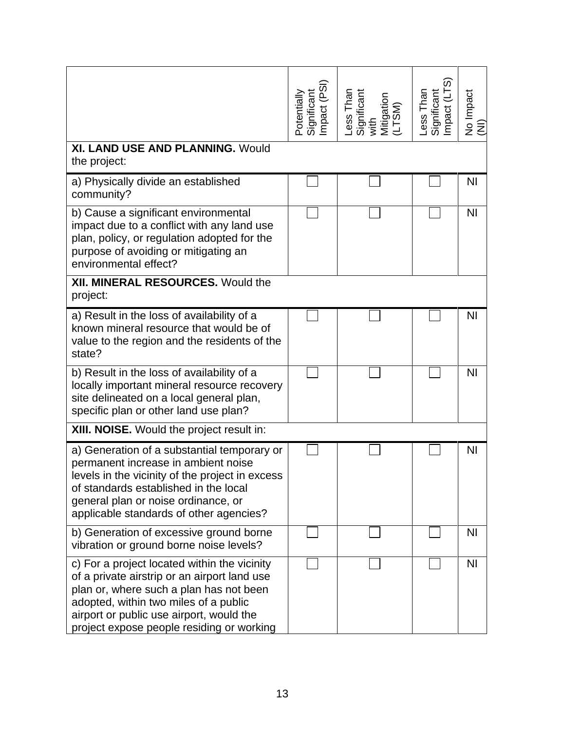|                                                                                                                                                                                                                                                                           | Significant<br>Impact (PSI)<br>Potentially | Less Than<br>Significant<br>with<br>Mitigation<br>(LTSM) | Less Than<br>Significant<br>Impact (LTS) | No Impact<br>(NI) |
|---------------------------------------------------------------------------------------------------------------------------------------------------------------------------------------------------------------------------------------------------------------------------|--------------------------------------------|----------------------------------------------------------|------------------------------------------|-------------------|
| XI. LAND USE AND PLANNING. Would<br>the project:                                                                                                                                                                                                                          |                                            |                                                          |                                          |                   |
| a) Physically divide an established<br>community?                                                                                                                                                                                                                         |                                            |                                                          |                                          | <b>NI</b>         |
| b) Cause a significant environmental<br>impact due to a conflict with any land use<br>plan, policy, or regulation adopted for the<br>purpose of avoiding or mitigating an<br>environmental effect?                                                                        |                                            |                                                          |                                          | <b>NI</b>         |
| XII. MINERAL RESOURCES. Would the<br>project:                                                                                                                                                                                                                             |                                            |                                                          |                                          |                   |
| a) Result in the loss of availability of a<br>known mineral resource that would be of<br>value to the region and the residents of the<br>state?                                                                                                                           |                                            |                                                          |                                          | <b>NI</b>         |
| b) Result in the loss of availability of a<br>locally important mineral resource recovery<br>site delineated on a local general plan,<br>specific plan or other land use plan?                                                                                            |                                            |                                                          |                                          | N <sub>1</sub>    |
| XIII. NOISE. Would the project result in:                                                                                                                                                                                                                                 |                                            |                                                          |                                          |                   |
| a) Generation of a substantial temporary or<br>permanent increase in ambient noise<br>levels in the vicinity of the project in excess<br>of standards established in the local<br>general plan or noise ordinance, or<br>applicable standards of other agencies?          |                                            |                                                          |                                          | <b>NI</b>         |
| b) Generation of excessive ground borne<br>vibration or ground borne noise levels?                                                                                                                                                                                        |                                            |                                                          |                                          | <b>NI</b>         |
| c) For a project located within the vicinity<br>of a private airstrip or an airport land use<br>plan or, where such a plan has not been<br>adopted, within two miles of a public<br>airport or public use airport, would the<br>project expose people residing or working |                                            |                                                          |                                          | N <sub>1</sub>    |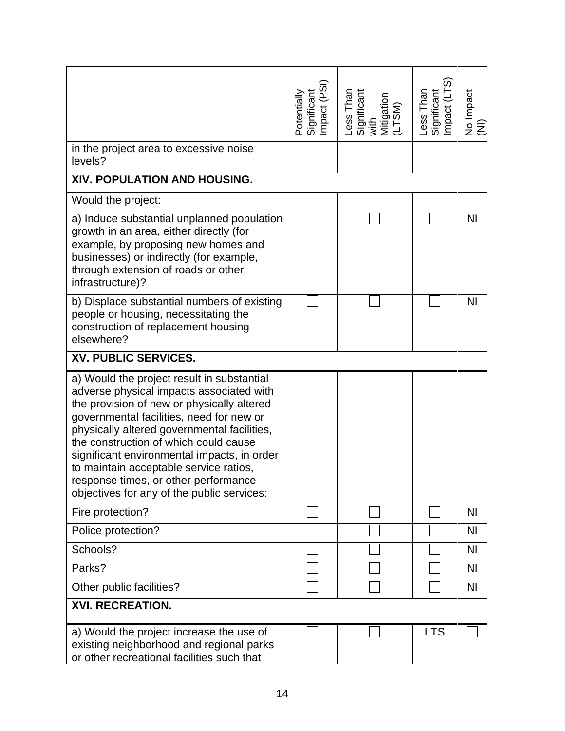|                                                                                                                                                                                                                                                                                                                                                                                                                                                         | Significant<br>Impact (PSI)<br>Potentially | Less Than<br>Significant<br>with<br>Mitigation<br>(LTSM) | Significant<br>Impact (LTS)<br>Less Than | No Impact<br>(NI) |
|---------------------------------------------------------------------------------------------------------------------------------------------------------------------------------------------------------------------------------------------------------------------------------------------------------------------------------------------------------------------------------------------------------------------------------------------------------|--------------------------------------------|----------------------------------------------------------|------------------------------------------|-------------------|
| in the project area to excessive noise<br>levels?                                                                                                                                                                                                                                                                                                                                                                                                       |                                            |                                                          |                                          |                   |
| XIV. POPULATION AND HOUSING.                                                                                                                                                                                                                                                                                                                                                                                                                            |                                            |                                                          |                                          |                   |
| Would the project:                                                                                                                                                                                                                                                                                                                                                                                                                                      |                                            |                                                          |                                          |                   |
| a) Induce substantial unplanned population<br>growth in an area, either directly (for<br>example, by proposing new homes and<br>businesses) or indirectly (for example,<br>through extension of roads or other<br>infrastructure)?                                                                                                                                                                                                                      |                                            |                                                          |                                          | N <sub>l</sub>    |
| b) Displace substantial numbers of existing<br>people or housing, necessitating the<br>construction of replacement housing<br>elsewhere?                                                                                                                                                                                                                                                                                                                |                                            |                                                          |                                          | N <sub>l</sub>    |
| XV. PUBLIC SERVICES.                                                                                                                                                                                                                                                                                                                                                                                                                                    |                                            |                                                          |                                          |                   |
| a) Would the project result in substantial<br>adverse physical impacts associated with<br>the provision of new or physically altered<br>governmental facilities, need for new or<br>physically altered governmental facilities,<br>the construction of which could cause<br>significant environmental impacts, in order<br>to maintain acceptable service ratios,<br>response times, or other performance<br>objectives for any of the public services: |                                            |                                                          |                                          |                   |
| Fire protection?                                                                                                                                                                                                                                                                                                                                                                                                                                        |                                            |                                                          |                                          | N <sub>l</sub>    |
| Police protection?                                                                                                                                                                                                                                                                                                                                                                                                                                      |                                            |                                                          |                                          | N <sub>1</sub>    |
| Schools?                                                                                                                                                                                                                                                                                                                                                                                                                                                |                                            |                                                          |                                          | N <sub>1</sub>    |
| Parks?                                                                                                                                                                                                                                                                                                                                                                                                                                                  |                                            |                                                          |                                          | N <sub>1</sub>    |
| Other public facilities?                                                                                                                                                                                                                                                                                                                                                                                                                                |                                            |                                                          |                                          | <b>NI</b>         |
| <b>XVI. RECREATION.</b>                                                                                                                                                                                                                                                                                                                                                                                                                                 |                                            |                                                          |                                          |                   |
| a) Would the project increase the use of<br>existing neighborhood and regional parks<br>or other recreational facilities such that                                                                                                                                                                                                                                                                                                                      |                                            |                                                          | <b>LTS</b>                               |                   |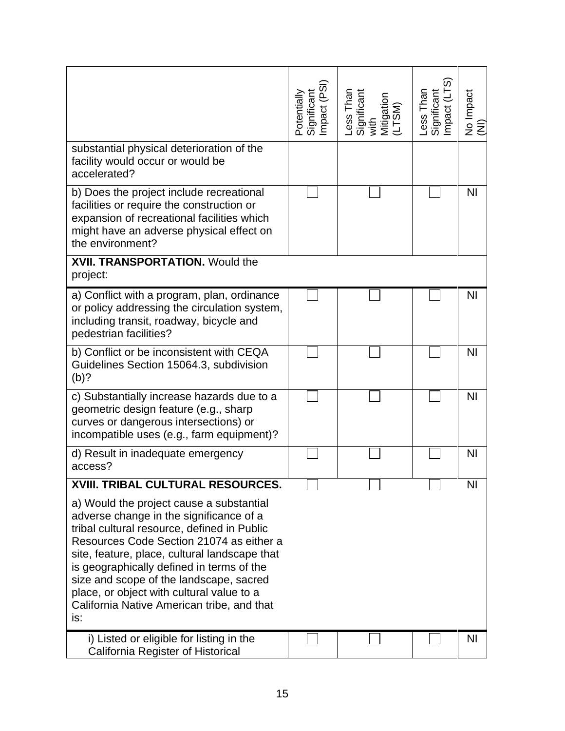|                                                                                                                                                                                                                                                                                                                                                                                                                           | Significant<br>Impact (PSI)<br>Potentially | Less Than<br>Significant<br>with<br>Mitigation<br>(LTSM) | Less Than<br>Significant<br>Impact (LTS) | No Impact<br>(NI) |
|---------------------------------------------------------------------------------------------------------------------------------------------------------------------------------------------------------------------------------------------------------------------------------------------------------------------------------------------------------------------------------------------------------------------------|--------------------------------------------|----------------------------------------------------------|------------------------------------------|-------------------|
| substantial physical deterioration of the<br>facility would occur or would be<br>accelerated?                                                                                                                                                                                                                                                                                                                             |                                            |                                                          |                                          |                   |
| b) Does the project include recreational<br>facilities or require the construction or<br>expansion of recreational facilities which<br>might have an adverse physical effect on<br>the environment?                                                                                                                                                                                                                       |                                            |                                                          |                                          | ΝI                |
| <b>XVII. TRANSPORTATION.</b> Would the<br>project:                                                                                                                                                                                                                                                                                                                                                                        |                                            |                                                          |                                          |                   |
| a) Conflict with a program, plan, ordinance<br>or policy addressing the circulation system,<br>including transit, roadway, bicycle and<br>pedestrian facilities?                                                                                                                                                                                                                                                          |                                            |                                                          |                                          | N <sub>1</sub>    |
| b) Conflict or be inconsistent with CEQA<br>Guidelines Section 15064.3, subdivision<br>$(b)$ ?                                                                                                                                                                                                                                                                                                                            |                                            |                                                          |                                          | N <sub>l</sub>    |
| c) Substantially increase hazards due to a<br>geometric design feature (e.g., sharp<br>curves or dangerous intersections) or<br>incompatible uses (e.g., farm equipment)?                                                                                                                                                                                                                                                 |                                            |                                                          |                                          | N <sub>l</sub>    |
| d) Result in inadequate emergency<br>access?                                                                                                                                                                                                                                                                                                                                                                              |                                            |                                                          |                                          | N <sub>l</sub>    |
| <b>XVIII. TRIBAL CULTURAL RESOURCES.</b>                                                                                                                                                                                                                                                                                                                                                                                  |                                            |                                                          |                                          | NI                |
| a) Would the project cause a substantial<br>adverse change in the significance of a<br>tribal cultural resource, defined in Public<br>Resources Code Section 21074 as either a<br>site, feature, place, cultural landscape that<br>is geographically defined in terms of the<br>size and scope of the landscape, sacred<br>place, or object with cultural value to a<br>California Native American tribe, and that<br>is: |                                            |                                                          |                                          |                   |
| i) Listed or eligible for listing in the<br>California Register of Historical                                                                                                                                                                                                                                                                                                                                             |                                            |                                                          |                                          | <b>NI</b>         |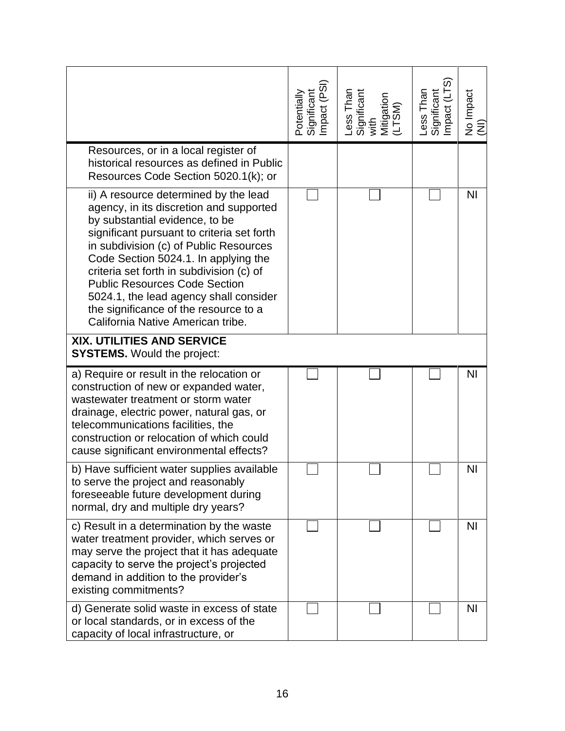|                                                                                                                                                                                                                                                                                                                                                                                                                                                                | Significant<br>Impact (PSI)<br>Potentially | Less Than<br>Significant<br>with<br>Mitigation<br>(LTSM) | Less Than<br>Significant<br>Impact (LTS) | No Impact<br>(NI) |
|----------------------------------------------------------------------------------------------------------------------------------------------------------------------------------------------------------------------------------------------------------------------------------------------------------------------------------------------------------------------------------------------------------------------------------------------------------------|--------------------------------------------|----------------------------------------------------------|------------------------------------------|-------------------|
| Resources, or in a local register of<br>historical resources as defined in Public<br>Resources Code Section 5020.1(k); or                                                                                                                                                                                                                                                                                                                                      |                                            |                                                          |                                          |                   |
| ii) A resource determined by the lead<br>agency, in its discretion and supported<br>by substantial evidence, to be<br>significant pursuant to criteria set forth<br>in subdivision (c) of Public Resources<br>Code Section 5024.1. In applying the<br>criteria set forth in subdivision (c) of<br><b>Public Resources Code Section</b><br>5024.1, the lead agency shall consider<br>the significance of the resource to a<br>California Native American tribe. |                                            |                                                          |                                          | N <sub>l</sub>    |
| XIX. UTILITIES AND SERVICE<br><b>SYSTEMS.</b> Would the project:                                                                                                                                                                                                                                                                                                                                                                                               |                                            |                                                          |                                          |                   |
| a) Require or result in the relocation or<br>construction of new or expanded water,<br>wastewater treatment or storm water<br>drainage, electric power, natural gas, or<br>telecommunications facilities, the<br>construction or relocation of which could<br>cause significant environmental effects?                                                                                                                                                         |                                            |                                                          |                                          | N <sub>l</sub>    |
| b) Have sufficient water supplies available<br>to serve the project and reasonably<br>foreseeable future development during<br>normal, dry and multiple dry years?                                                                                                                                                                                                                                                                                             |                                            |                                                          |                                          | NI                |
| c) Result in a determination by the waste<br>water treatment provider, which serves or<br>may serve the project that it has adequate<br>capacity to serve the project's projected<br>demand in addition to the provider's<br>existing commitments?                                                                                                                                                                                                             |                                            |                                                          |                                          | <b>NI</b>         |
| d) Generate solid waste in excess of state<br>or local standards, or in excess of the<br>capacity of local infrastructure, or                                                                                                                                                                                                                                                                                                                                  |                                            |                                                          |                                          | <b>NI</b>         |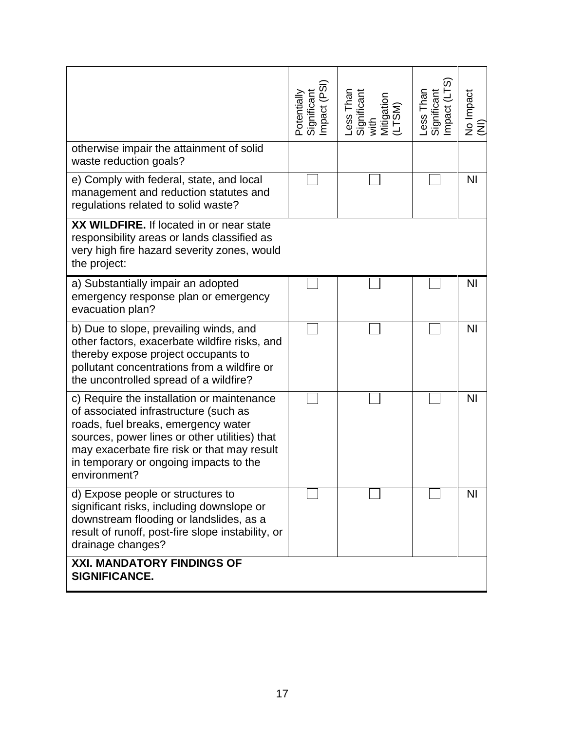|                                                                                                                                                                                                                                                                                      | Significant<br>Impact (PSI)<br>Potentially | Less Than<br>Significant<br>with<br>Mitigation<br>(LTSM) | Significant<br>Impact (LTS)<br>ess Than | No Impact<br>$\widehat{\mathsf{z}}$ |
|--------------------------------------------------------------------------------------------------------------------------------------------------------------------------------------------------------------------------------------------------------------------------------------|--------------------------------------------|----------------------------------------------------------|-----------------------------------------|-------------------------------------|
| otherwise impair the attainment of solid<br>waste reduction goals?                                                                                                                                                                                                                   |                                            |                                                          |                                         |                                     |
| e) Comply with federal, state, and local<br>management and reduction statutes and<br>regulations related to solid waste?                                                                                                                                                             |                                            |                                                          |                                         | N <sub>l</sub>                      |
| XX WILDFIRE. If located in or near state<br>responsibility areas or lands classified as<br>very high fire hazard severity zones, would<br>the project:                                                                                                                               |                                            |                                                          |                                         |                                     |
| a) Substantially impair an adopted<br>emergency response plan or emergency<br>evacuation plan?                                                                                                                                                                                       |                                            |                                                          |                                         | <b>NI</b>                           |
| b) Due to slope, prevailing winds, and<br>other factors, exacerbate wildfire risks, and<br>thereby expose project occupants to<br>pollutant concentrations from a wildfire or<br>the uncontrolled spread of a wildfire?                                                              |                                            |                                                          |                                         | <b>NI</b>                           |
| c) Require the installation or maintenance<br>of associated infrastructure (such as<br>roads, fuel breaks, emergency water<br>sources, power lines or other utilities) that<br>may exacerbate fire risk or that may result<br>in temporary or ongoing impacts to the<br>environment? |                                            |                                                          |                                         | <b>NI</b>                           |
| d) Expose people or structures to<br>significant risks, including downslope or<br>downstream flooding or landslides, as a<br>result of runoff, post-fire slope instability, or<br>drainage changes?                                                                                  |                                            |                                                          |                                         | N <sub>1</sub>                      |
| <b>XXI. MANDATORY FINDINGS OF</b><br>SIGNIFICANCE.                                                                                                                                                                                                                                   |                                            |                                                          |                                         |                                     |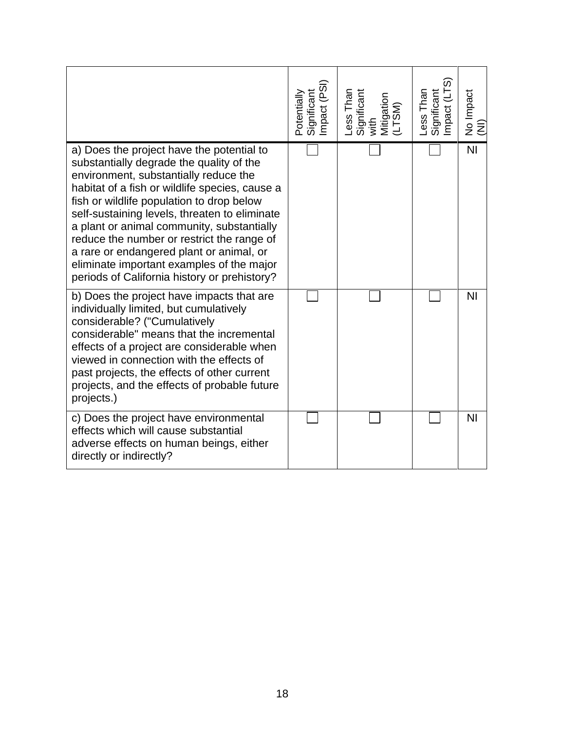|                                                                                                                                                                                                                                                                                                                                                                                                                                                                                                                     | Significant<br>Impact (PSI)<br>Potentially | Less Than<br>Significant<br>with<br>Mitigation<br>Mitigation | Less Than<br>Significant<br>Impact (LTS) | No Impact<br>(NI) |
|---------------------------------------------------------------------------------------------------------------------------------------------------------------------------------------------------------------------------------------------------------------------------------------------------------------------------------------------------------------------------------------------------------------------------------------------------------------------------------------------------------------------|--------------------------------------------|--------------------------------------------------------------|------------------------------------------|-------------------|
| a) Does the project have the potential to<br>substantially degrade the quality of the<br>environment, substantially reduce the<br>habitat of a fish or wildlife species, cause a<br>fish or wildlife population to drop below<br>self-sustaining levels, threaten to eliminate<br>a plant or animal community, substantially<br>reduce the number or restrict the range of<br>a rare or endangered plant or animal, or<br>eliminate important examples of the major<br>periods of California history or prehistory? |                                            |                                                              |                                          | N <sub>l</sub>    |
| b) Does the project have impacts that are<br>individually limited, but cumulatively<br>considerable? ("Cumulatively<br>considerable" means that the incremental<br>effects of a project are considerable when<br>viewed in connection with the effects of<br>past projects, the effects of other current<br>projects, and the effects of probable future<br>projects.)                                                                                                                                              |                                            |                                                              |                                          | N <sub>l</sub>    |
| c) Does the project have environmental<br>effects which will cause substantial<br>adverse effects on human beings, either<br>directly or indirectly?                                                                                                                                                                                                                                                                                                                                                                |                                            |                                                              |                                          | N <sub>1</sub>    |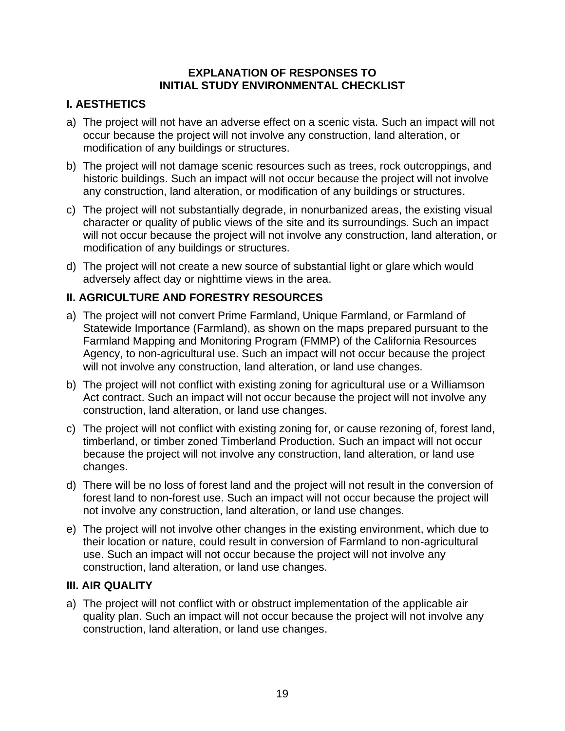#### **EXPLANATION OF RESPONSES TO INITIAL STUDY ENVIRONMENTAL CHECKLIST**

## **I. AESTHETICS**

- a) The project will not have an adverse effect on a scenic vista. Such an impact will not occur because the project will not involve any construction, land alteration, or modification of any buildings or structures.
- b) The project will not damage scenic resources such as trees, rock outcroppings, and historic buildings. Such an impact will not occur because the project will not involve any construction, land alteration, or modification of any buildings or structures.
- c) The project will not substantially degrade, in nonurbanized areas, the existing visual character or quality of public views of the site and its surroundings. Such an impact will not occur because the project will not involve any construction, land alteration, or modification of any buildings or structures.
- d) The project will not create a new source of substantial light or glare which would adversely affect day or nighttime views in the area.

## **II. AGRICULTURE AND FORESTRY RESOURCES**

- a) The project will not convert Prime Farmland, Unique Farmland, or Farmland of Statewide Importance (Farmland), as shown on the maps prepared pursuant to the Farmland Mapping and Monitoring Program (FMMP) of the California Resources Agency, to non-agricultural use. Such an impact will not occur because the project will not involve any construction, land alteration, or land use changes.
- b) The project will not conflict with existing zoning for agricultural use or a Williamson Act contract. Such an impact will not occur because the project will not involve any construction, land alteration, or land use changes.
- c) The project will not conflict with existing zoning for, or cause rezoning of, forest land, timberland, or timber zoned Timberland Production. Such an impact will not occur because the project will not involve any construction, land alteration, or land use changes.
- d) There will be no loss of forest land and the project will not result in the conversion of forest land to non-forest use. Such an impact will not occur because the project will not involve any construction, land alteration, or land use changes.
- e) The project will not involve other changes in the existing environment, which due to their location or nature, could result in conversion of Farmland to non-agricultural use. Such an impact will not occur because the project will not involve any construction, land alteration, or land use changes.

## **III. AIR QUALITY**

a) The project will not conflict with or obstruct implementation of the applicable air quality plan. Such an impact will not occur because the project will not involve any construction, land alteration, or land use changes.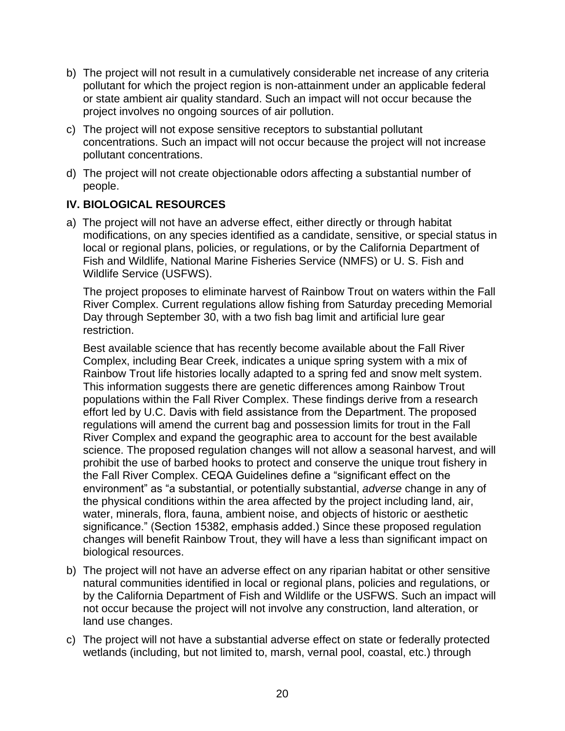- b) The project will not result in a cumulatively considerable net increase of any criteria pollutant for which the project region is non-attainment under an applicable federal or state ambient air quality standard. Such an impact will not occur because the project involves no ongoing sources of air pollution.
- c) The project will not expose sensitive receptors to substantial pollutant concentrations. Such an impact will not occur because the project will not increase pollutant concentrations.
- d) The project will not create objectionable odors affecting a substantial number of people.

## **IV. BIOLOGICAL RESOURCES**

a) The project will not have an adverse effect, either directly or through habitat modifications, on any species identified as a candidate, sensitive, or special status in local or regional plans, policies, or regulations, or by the California Department of Fish and Wildlife, National Marine Fisheries Service (NMFS) or U. S. Fish and Wildlife Service (USFWS).

The project proposes to eliminate harvest of Rainbow Trout on waters within the Fall River Complex. Current regulations allow fishing from Saturday preceding Memorial Day through September 30, with a two fish bag limit and artificial lure gear restriction.

Best available science that has recently become available about the Fall River Complex, including Bear Creek, indicates a unique spring system with a mix of Rainbow Trout life histories locally adapted to a spring fed and snow melt system. This information suggests there are genetic differences among Rainbow Trout populations within the Fall River Complex. These findings derive from a research effort led by U.C. Davis with field assistance from the Department. The proposed regulations will amend the current bag and possession limits for trout in the Fall River Complex and expand the geographic area to account for the best available science. The proposed regulation changes will not allow a seasonal harvest, and will prohibit the use of barbed hooks to protect and conserve the unique trout fishery in the Fall River Complex. CEQA Guidelines define a "significant effect on the environment" as "a substantial, or potentially substantial, *adverse* change in any of the physical conditions within the area affected by the project including land, air, water, minerals, flora, fauna, ambient noise, and objects of historic or aesthetic significance." (Section 15382, emphasis added.) Since these proposed regulation changes will benefit Rainbow Trout, they will have a less than significant impact on biological resources.

- b) The project will not have an adverse effect on any riparian habitat or other sensitive natural communities identified in local or regional plans, policies and regulations, or by the California Department of Fish and Wildlife or the USFWS. Such an impact will not occur because the project will not involve any construction, land alteration, or land use changes.
- c) The project will not have a substantial adverse effect on state or federally protected wetlands (including, but not limited to, marsh, vernal pool, coastal, etc.) through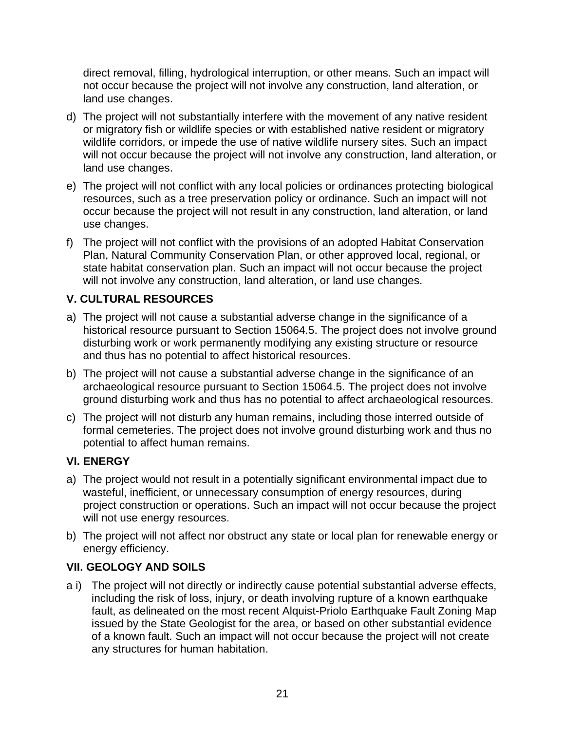direct removal, filling, hydrological interruption, or other means. Such an impact will not occur because the project will not involve any construction, land alteration, or land use changes.

- d) The project will not substantially interfere with the movement of any native resident or migratory fish or wildlife species or with established native resident or migratory wildlife corridors, or impede the use of native wildlife nursery sites. Such an impact will not occur because the project will not involve any construction, land alteration, or land use changes.
- e) The project will not conflict with any local policies or ordinances protecting biological resources, such as a tree preservation policy or ordinance. Such an impact will not occur because the project will not result in any construction, land alteration, or land use changes.
- f) The project will not conflict with the provisions of an adopted Habitat Conservation Plan, Natural Community Conservation Plan, or other approved local, regional, or state habitat conservation plan. Such an impact will not occur because the project will not involve any construction, land alteration, or land use changes.

# **V. CULTURAL RESOURCES**

- a) The project will not cause a substantial adverse change in the significance of a historical resource pursuant to Section 15064.5. The project does not involve ground disturbing work or work permanently modifying any existing structure or resource and thus has no potential to affect historical resources.
- b) The project will not cause a substantial adverse change in the significance of an archaeological resource pursuant to Section 15064.5. The project does not involve ground disturbing work and thus has no potential to affect archaeological resources.
- c) The project will not disturb any human remains, including those interred outside of formal cemeteries. The project does not involve ground disturbing work and thus no potential to affect human remains.

## **VI. ENERGY**

- a) The project would not result in a potentially significant environmental impact due to wasteful, inefficient, or unnecessary consumption of energy resources, during project construction or operations. Such an impact will not occur because the project will not use energy resources.
- b) The project will not affect nor obstruct any state or local plan for renewable energy or energy efficiency.

## **VII. GEOLOGY AND SOILS**

a i) The project will not directly or indirectly cause potential substantial adverse effects, including the risk of loss, injury, or death involving rupture of a known earthquake fault, as delineated on the most recent Alquist-Priolo Earthquake Fault Zoning Map issued by the State Geologist for the area, or based on other substantial evidence of a known fault. Such an impact will not occur because the project will not create any structures for human habitation.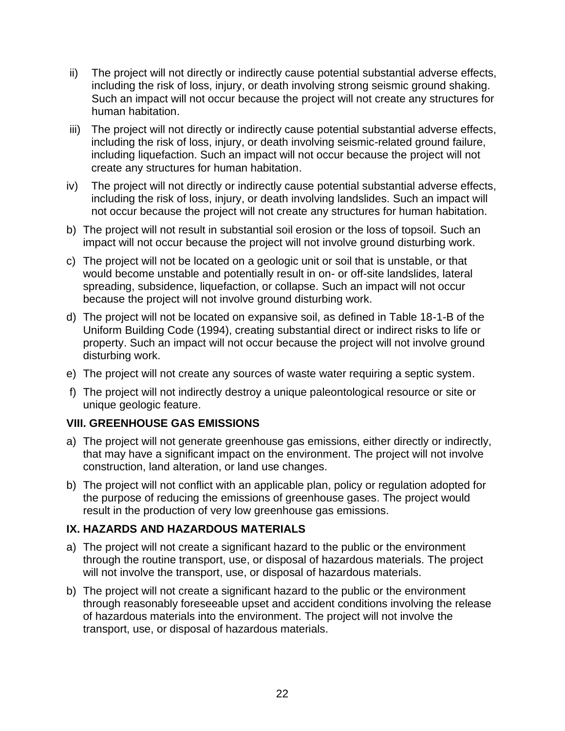- ii) The project will not directly or indirectly cause potential substantial adverse effects, including the risk of loss, injury, or death involving strong seismic ground shaking. Such an impact will not occur because the project will not create any structures for human habitation.
- iii) The project will not directly or indirectly cause potential substantial adverse effects, including the risk of loss, injury, or death involving seismic-related ground failure, including liquefaction. Such an impact will not occur because the project will not create any structures for human habitation.
- iv) The project will not directly or indirectly cause potential substantial adverse effects, including the risk of loss, injury, or death involving landslides. Such an impact will not occur because the project will not create any structures for human habitation.
- b) The project will not result in substantial soil erosion or the loss of topsoil. Such an impact will not occur because the project will not involve ground disturbing work.
- c) The project will not be located on a geologic unit or soil that is unstable, or that would become unstable and potentially result in on- or off-site landslides, lateral spreading, subsidence, liquefaction, or collapse. Such an impact will not occur because the project will not involve ground disturbing work.
- d) The project will not be located on expansive soil, as defined in Table 18-1-B of the Uniform Building Code (1994), creating substantial direct or indirect risks to life or property. Such an impact will not occur because the project will not involve ground disturbing work.
- e) The project will not create any sources of waste water requiring a septic system.
- f) The project will not indirectly destroy a unique paleontological resource or site or unique geologic feature.

## **VIII. GREENHOUSE GAS EMISSIONS**

- a) The project will not generate greenhouse gas emissions, either directly or indirectly, that may have a significant impact on the environment. The project will not involve construction, land alteration, or land use changes.
- b) The project will not conflict with an applicable plan, policy or regulation adopted for the purpose of reducing the emissions of greenhouse gases. The project would result in the production of very low greenhouse gas emissions.

# **IX. HAZARDS AND HAZARDOUS MATERIALS**

- a) The project will not create a significant hazard to the public or the environment through the routine transport, use, or disposal of hazardous materials. The project will not involve the transport, use, or disposal of hazardous materials.
- b) The project will not create a significant hazard to the public or the environment through reasonably foreseeable upset and accident conditions involving the release of hazardous materials into the environment. The project will not involve the transport, use, or disposal of hazardous materials.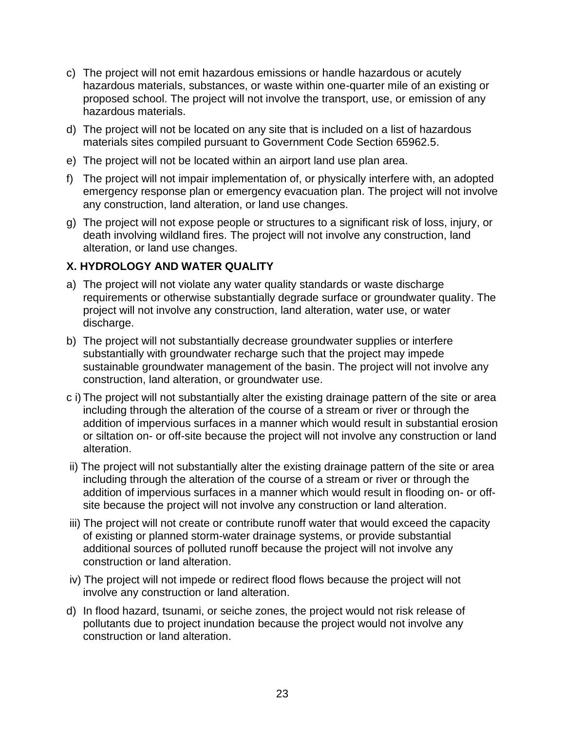- c) The project will not emit hazardous emissions or handle hazardous or acutely hazardous materials, substances, or waste within one-quarter mile of an existing or proposed school. The project will not involve the transport, use, or emission of any hazardous materials.
- d) The project will not be located on any site that is included on a list of hazardous materials sites compiled pursuant to Government Code Section 65962.5.
- e) The project will not be located within an airport land use plan area.
- f) The project will not impair implementation of, or physically interfere with, an adopted emergency response plan or emergency evacuation plan. The project will not involve any construction, land alteration, or land use changes.
- g) The project will not expose people or structures to a significant risk of loss, injury, or death involving wildland fires. The project will not involve any construction, land alteration, or land use changes.

# **X. HYDROLOGY AND WATER QUALITY**

- a) The project will not violate any water quality standards or waste discharge requirements or otherwise substantially degrade surface or groundwater quality. The project will not involve any construction, land alteration, water use, or water discharge.
- b) The project will not substantially decrease groundwater supplies or interfere substantially with groundwater recharge such that the project may impede sustainable groundwater management of the basin. The project will not involve any construction, land alteration, or groundwater use.
- c i) The project will not substantially alter the existing drainage pattern of the site or area including through the alteration of the course of a stream or river or through the addition of impervious surfaces in a manner which would result in substantial erosion or siltation on- or off-site because the project will not involve any construction or land alteration.
- ii) The project will not substantially alter the existing drainage pattern of the site or area including through the alteration of the course of a stream or river or through the addition of impervious surfaces in a manner which would result in flooding on- or offsite because the project will not involve any construction or land alteration.
- iii) The project will not create or contribute runoff water that would exceed the capacity of existing or planned storm-water drainage systems, or provide substantial additional sources of polluted runoff because the project will not involve any construction or land alteration.
- iv) The project will not impede or redirect flood flows because the project will not involve any construction or land alteration.
- d) In flood hazard, tsunami, or seiche zones, the project would not risk release of pollutants due to project inundation because the project would not involve any construction or land alteration.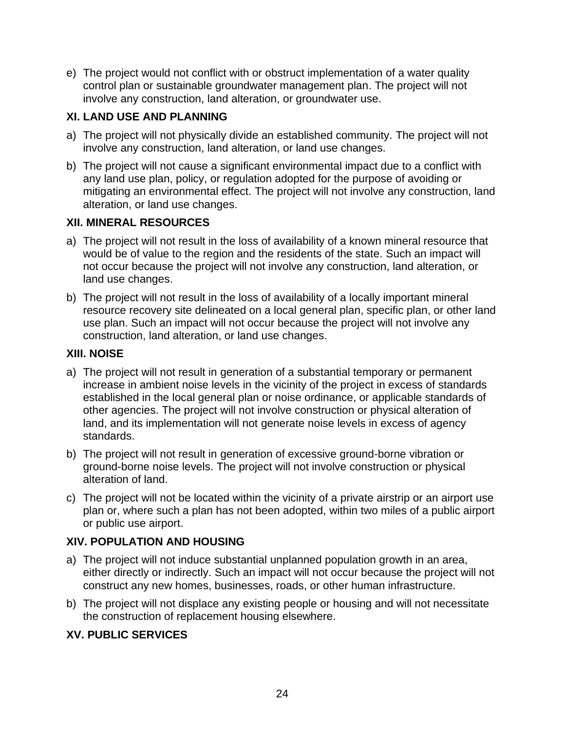e) The project would not conflict with or obstruct implementation of a water quality control plan or sustainable groundwater management plan. The project will not involve any construction, land alteration, or groundwater use.

# **XI. LAND USE AND PLANNING**

- a) The project will not physically divide an established community. The project will not involve any construction, land alteration, or land use changes.
- b) The project will not cause a significant environmental impact due to a conflict with any land use plan, policy, or regulation adopted for the purpose of avoiding or mitigating an environmental effect. The project will not involve any construction, land alteration, or land use changes.

## **XII. MINERAL RESOURCES**

- a) The project will not result in the loss of availability of a known mineral resource that would be of value to the region and the residents of the state. Such an impact will not occur because the project will not involve any construction, land alteration, or land use changes.
- b) The project will not result in the loss of availability of a locally important mineral resource recovery site delineated on a local general plan, specific plan, or other land use plan. Such an impact will not occur because the project will not involve any construction, land alteration, or land use changes.

## **XIII. NOISE**

- a) The project will not result in generation of a substantial temporary or permanent increase in ambient noise levels in the vicinity of the project in excess of standards established in the local general plan or noise ordinance, or applicable standards of other agencies. The project will not involve construction or physical alteration of land, and its implementation will not generate noise levels in excess of agency standards.
- b) The project will not result in generation of excessive ground-borne vibration or ground-borne noise levels. The project will not involve construction or physical alteration of land.
- c) The project will not be located within the vicinity of a private airstrip or an airport use plan or, where such a plan has not been adopted, within two miles of a public airport or public use airport.

# **XIV. POPULATION AND HOUSING**

- a) The project will not induce substantial unplanned population growth in an area, either directly or indirectly. Such an impact will not occur because the project will not construct any new homes, businesses, roads, or other human infrastructure.
- b) The project will not displace any existing people or housing and will not necessitate the construction of replacement housing elsewhere.

# **XV. PUBLIC SERVICES**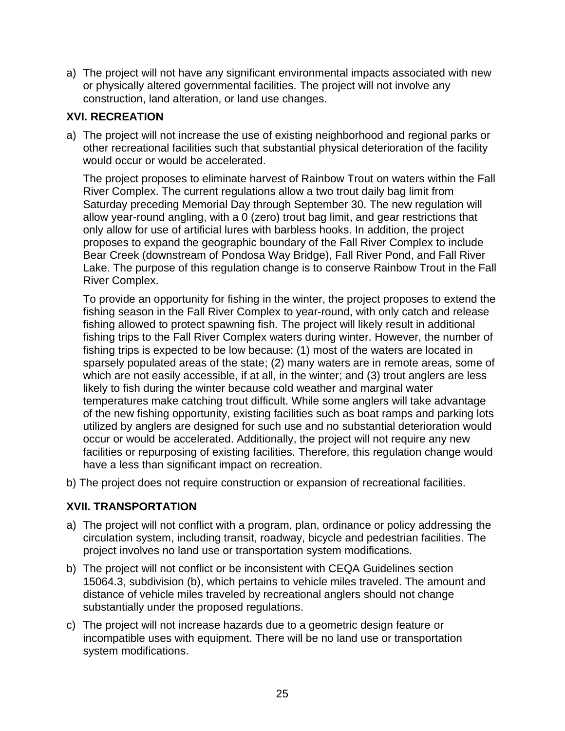a) The project will not have any significant environmental impacts associated with new or physically altered governmental facilities. The project will not involve any construction, land alteration, or land use changes.

## **XVI. RECREATION**

a) The project will not increase the use of existing neighborhood and regional parks or other recreational facilities such that substantial physical deterioration of the facility would occur or would be accelerated.

The project proposes to eliminate harvest of Rainbow Trout on waters within the Fall River Complex. The current regulations allow a two trout daily bag limit from Saturday preceding Memorial Day through September 30. The new regulation will allow year-round angling, with a 0 (zero) trout bag limit, and gear restrictions that only allow for use of artificial lures with barbless hooks. In addition, the project proposes to expand the geographic boundary of the Fall River Complex to include Bear Creek (downstream of Pondosa Way Bridge), Fall River Pond, and Fall River Lake. The purpose of this regulation change is to conserve Rainbow Trout in the Fall River Complex.

To provide an opportunity for fishing in the winter, the project proposes to extend the fishing season in the Fall River Complex to year-round, with only catch and release fishing allowed to protect spawning fish. The project will likely result in additional fishing trips to the Fall River Complex waters during winter. However, the number of fishing trips is expected to be low because: (1) most of the waters are located in sparsely populated areas of the state; (2) many waters are in remote areas, some of which are not easily accessible, if at all, in the winter; and (3) trout anglers are less likely to fish during the winter because cold weather and marginal water temperatures make catching trout difficult. While some anglers will take advantage of the new fishing opportunity, existing facilities such as boat ramps and parking lots utilized by anglers are designed for such use and no substantial deterioration would occur or would be accelerated. Additionally, the project will not require any new facilities or repurposing of existing facilities. Therefore, this regulation change would have a less than significant impact on recreation.

b) The project does not require construction or expansion of recreational facilities.

## **XVII. TRANSPORTATION**

- a) The project will not conflict with a program, plan, ordinance or policy addressing the circulation system, including transit, roadway, bicycle and pedestrian facilities. The project involves no land use or transportation system modifications.
- b) The project will not conflict or be inconsistent with CEQA Guidelines section 15064.3, subdivision (b), which pertains to vehicle miles traveled. The amount and distance of vehicle miles traveled by recreational anglers should not change substantially under the proposed regulations.
- c) The project will not increase hazards due to a geometric design feature or incompatible uses with equipment. There will be no land use or transportation system modifications.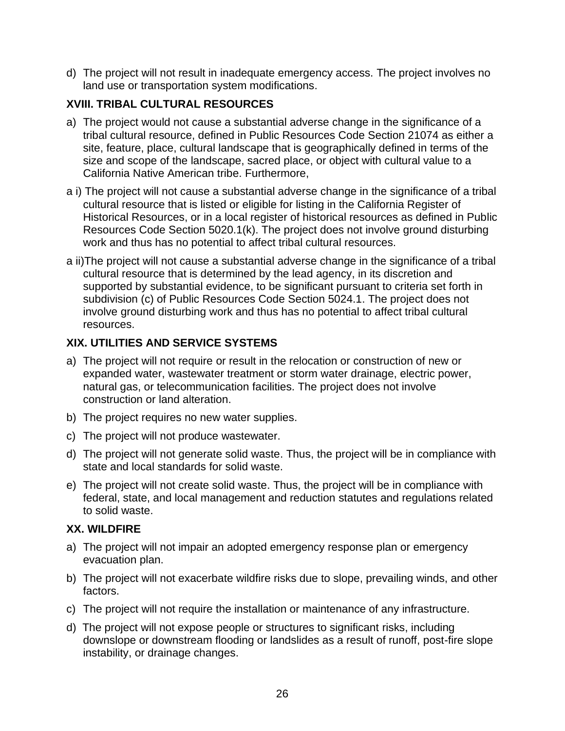d) The project will not result in inadequate emergency access. The project involves no land use or transportation system modifications.

# **XVIII. TRIBAL CULTURAL RESOURCES**

- a) The project would not cause a substantial adverse change in the significance of a tribal cultural resource, defined in Public Resources Code Section 21074 as either a site, feature, place, cultural landscape that is geographically defined in terms of the size and scope of the landscape, sacred place, or object with cultural value to a California Native American tribe. Furthermore,
- a i) The project will not cause a substantial adverse change in the significance of a tribal cultural resource that is listed or eligible for listing in the California Register of Historical Resources, or in a local register of historical resources as defined in Public Resources Code Section 5020.1(k). The project does not involve ground disturbing work and thus has no potential to affect tribal cultural resources.
- a ii)The project will not cause a substantial adverse change in the significance of a tribal cultural resource that is determined by the lead agency, in its discretion and supported by substantial evidence, to be significant pursuant to criteria set forth in subdivision (c) of Public Resources Code Section 5024.1. The project does not involve ground disturbing work and thus has no potential to affect tribal cultural resources.

## **XIX. UTILITIES AND SERVICE SYSTEMS**

- a) The project will not require or result in the relocation or construction of new or expanded water, wastewater treatment or storm water drainage, electric power, natural gas, or telecommunication facilities. The project does not involve construction or land alteration.
- b) The project requires no new water supplies.
- c) The project will not produce wastewater.
- d) The project will not generate solid waste. Thus, the project will be in compliance with state and local standards for solid waste.
- e) The project will not create solid waste. Thus, the project will be in compliance with federal, state, and local management and reduction statutes and regulations related to solid waste.

## **XX. WILDFIRE**

- a) The project will not impair an adopted emergency response plan or emergency evacuation plan.
- b) The project will not exacerbate wildfire risks due to slope, prevailing winds, and other factors.
- c) The project will not require the installation or maintenance of any infrastructure.
- d) The project will not expose people or structures to significant risks, including downslope or downstream flooding or landslides as a result of runoff, post-fire slope instability, or drainage changes.